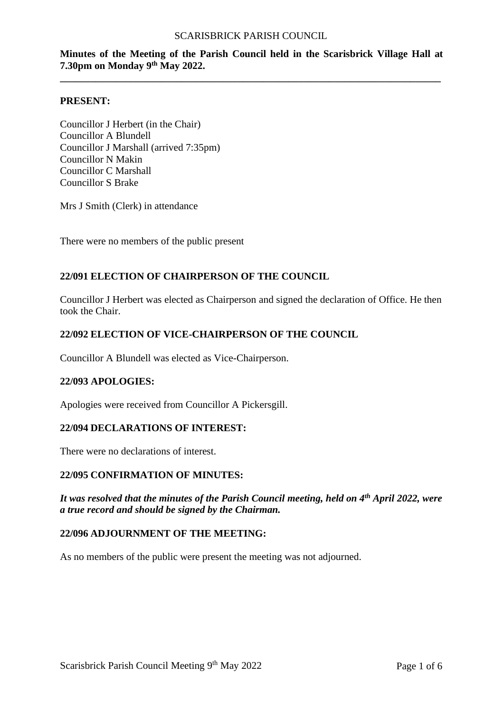# **Minutes of the Meeting of the Parish Council held in the Scarisbrick Village Hall at 7.30pm on Monday 9 th May 2022.**

**\_\_\_\_\_\_\_\_\_\_\_\_\_\_\_\_\_\_\_\_\_\_\_\_\_\_\_\_\_\_\_\_\_\_\_\_\_\_\_\_\_\_\_\_\_\_\_\_\_\_\_\_\_\_\_\_\_\_\_\_\_\_\_\_\_\_\_\_\_\_\_\_\_\_\_**

#### **PRESENT:**

Councillor J Herbert (in the Chair) Councillor A Blundell Councillor J Marshall (arrived 7:35pm) Councillor N Makin Councillor C Marshall Councillor S Brake

Mrs J Smith (Clerk) in attendance

There were no members of the public present

# **22/091 ELECTION OF CHAIRPERSON OF THE COUNCIL**

Councillor J Herbert was elected as Chairperson and signed the declaration of Office. He then took the Chair.

### **22/092 ELECTION OF VICE-CHAIRPERSON OF THE COUNCIL**

Councillor A Blundell was elected as Vice-Chairperson.

#### **22/093 APOLOGIES:**

Apologies were received from Councillor A Pickersgill.

#### **22/094 DECLARATIONS OF INTEREST:**

There were no declarations of interest.

#### **22/095 CONFIRMATION OF MINUTES:**

*It was resolved that the minutes of the Parish Council meeting, held on 4th April 2022, were a true record and should be signed by the Chairman.*

## **22/096 ADJOURNMENT OF THE MEETING:**

As no members of the public were present the meeting was not adjourned.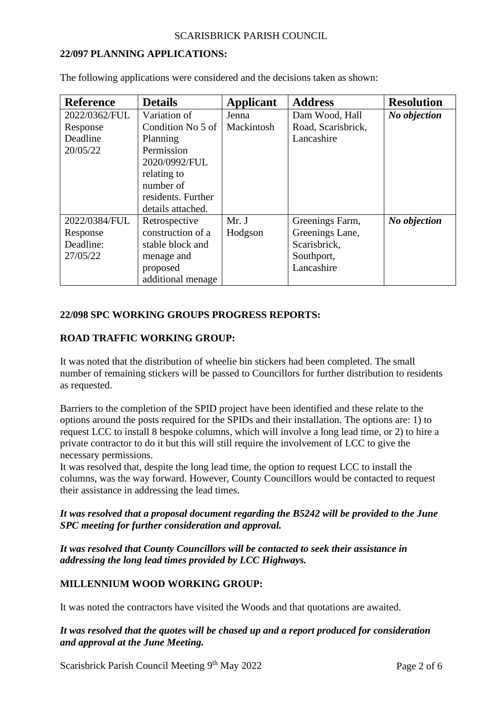## **22/097 PLANNING APPLICATIONS:**

| <b>Reference</b> | <b>Details</b>     | <b>Applicant</b> | <b>Address</b>     | <b>Resolution</b> |
|------------------|--------------------|------------------|--------------------|-------------------|
| 2022/0362/FUL    | Variation of       | Jenna            | Dam Wood, Hall     | No objection      |
| Response         | Condition No 5 of  | Mackintosh       | Road, Scarisbrick, |                   |
| Deadline         | Planning           |                  | Lancashire         |                   |
| 20/05/22         | Permission         |                  |                    |                   |
|                  | 2020/0992/FUL      |                  |                    |                   |
|                  | relating to        |                  |                    |                   |
|                  | number of          |                  |                    |                   |
|                  | residents. Further |                  |                    |                   |
|                  | details attached.  |                  |                    |                   |
| 2022/0384/FUL    | Retrospective      | Mr. J            | Greenings Farm,    | No objection      |
| Response         | construction of a  | Hodgson          | Greenings Lane,    |                   |
| Deadline:        | stable block and   |                  | Scarisbrick,       |                   |
| 27/05/22         | menage and         |                  | Southport,         |                   |
|                  | proposed           |                  | Lancashire         |                   |
|                  | additional menage  |                  |                    |                   |

The following applications were considered and the decisions taken as shown:

# **22/098 SPC WORKING GROUPS PROGRESS REPORTS:**

### **ROAD TRAFFIC WORKING GROUP:**

It was noted that the distribution of wheelie bin stickers had been completed. The small number of remaining stickers will be passed to Councillors for further distribution to residents as requested.

Barriers to the completion of the SPID project have been identified and these relate to the options around the posts required for the SPIDs and their installation. The options are: 1) to request LCC to install 8 bespoke columns, which will involve a long lead time, or 2) to hire a private contractor to do it but this will still require the involvement of LCC to give the necessary permissions.

It was resolved that, despite the long lead time, the option to request LCC to install the columns, was the way forward. However, County Councillors would be contacted to request their assistance in addressing the lead times.

# *It was resolved that a proposal document regarding the B5242 will be provided to the June SPC meeting for further consideration and approval.*

*It was resolved that County Councillors will be contacted to seek their assistance in addressing the long lead times provided by LCC Highways.*

# **MILLENNIUM WOOD WORKING GROUP:**

It was noted the contractors have visited the Woods and that quotations are awaited.

# *It was resolved that the quotes will be chased up and a report produced for consideration and approval at the June Meeting.*

Scarisbrick Parish Council Meeting 9<sup>th</sup> May 2022 Page 2 of 6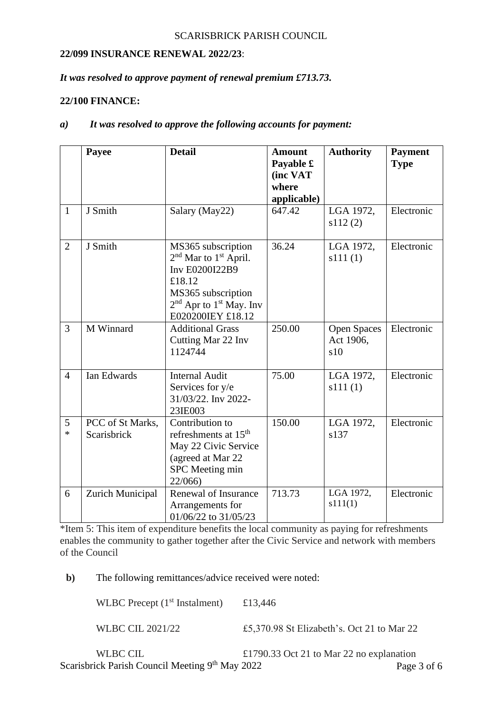# **22/099 INSURANCE RENEWAL 2022/23**:

## *It was resolved to approve payment of renewal premium £713.73.*

### **22/100 FINANCE:**

## *a) It was resolved to approve the following accounts for payment:*

|                | Payee                           | <b>Detail</b>                                                                                                                                                                                 | <b>Amount</b><br>Payable £ | <b>Authority</b>                       | <b>Payment</b><br><b>Type</b> |
|----------------|---------------------------------|-----------------------------------------------------------------------------------------------------------------------------------------------------------------------------------------------|----------------------------|----------------------------------------|-------------------------------|
|                |                                 |                                                                                                                                                                                               | (inc VAT                   |                                        |                               |
|                |                                 |                                                                                                                                                                                               | where                      |                                        |                               |
|                |                                 |                                                                                                                                                                                               | applicable)                |                                        |                               |
| $\mathbf{1}$   | J Smith                         | Salary (May22)                                                                                                                                                                                | 647.42                     | LGA 1972,<br>s112(2)                   | Electronic                    |
| $\overline{2}$ | J Smith                         | MS365 subscription<br>2 <sup>nd</sup> Mar to 1 <sup>st</sup> April.<br>Inv E0200I22B9<br>£18.12<br>MS365 subscription<br>2 <sup>nd</sup> Apr to 1 <sup>st</sup> May. Inv<br>E020200IEY £18.12 | 36.24                      | LGA 1972,<br>s111(1)                   | Electronic                    |
| $\overline{3}$ | M Winnard                       | <b>Additional Grass</b><br>Cutting Mar 22 Inv<br>1124744                                                                                                                                      | 250.00                     | <b>Open Spaces</b><br>Act 1906,<br>s10 | Electronic                    |
| $\overline{4}$ | Ian Edwards                     | <b>Internal Audit</b><br>Services for y/e<br>31/03/22. Inv 2022-<br>23IE003                                                                                                                   | 75.00                      | LGA 1972,<br>s111(1)                   | Electronic                    |
| 5<br>$\ast$    | PCC of St Marks,<br>Scarisbrick | Contribution to<br>refreshments at 15 <sup>th</sup><br>May 22 Civic Service<br>(agreed at Mar 22<br>SPC Meeting min<br>22/066)                                                                | 150.00                     | LGA 1972,<br>s137                      | Electronic                    |
| 6              | Zurich Municipal                | Renewal of Insurance<br>Arrangements for<br>01/06/22 to 31/05/23                                                                                                                              | 713.73                     | LGA 1972,<br>s111(1)                   | Electronic                    |

\*Item 5: This item of expenditure benefits the local community as paying for refreshments enables the community to gather together after the Civic Service and network with members of the Council

**b)** The following remittances/advice received were noted:

WLBC Precept  $(1<sup>st</sup> Instant)$  £13,446

WLBC CIL 2021/22 £5,370.98 St Elizabeth's. Oct 21 to Mar 22

Scarisbrick Parish Council Meeting 9<sup>th</sup> May 2022 Page 3 of 6 WLBC CIL  $\text{£}1790.33 \text{ Oct } 21 \text{ to Mar } 22 \text{ no explanation}$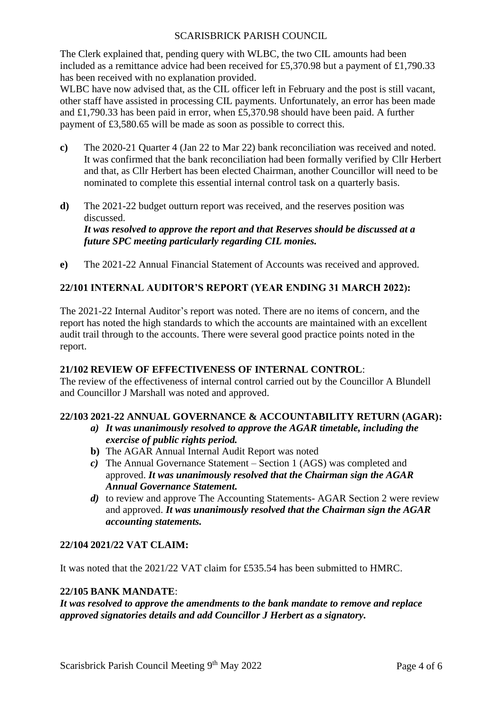The Clerk explained that, pending query with WLBC, the two CIL amounts had been included as a remittance advice had been received for £5,370.98 but a payment of £1,790.33 has been received with no explanation provided.

WLBC have now advised that, as the CIL officer left in February and the post is still vacant, other staff have assisted in processing CIL payments. Unfortunately, an error has been made and £1,790.33 has been paid in error, when £5,370.98 should have been paid. A further payment of £3,580.65 will be made as soon as possible to correct this.

- **c)** The 2020-21 Quarter 4 (Jan 22 to Mar 22) bank reconciliation was received and noted. It was confirmed that the bank reconciliation had been formally verified by Cllr Herbert and that, as Cllr Herbert has been elected Chairman, another Councillor will need to be nominated to complete this essential internal control task on a quarterly basis.
- **d)** The 2021-22 budget outturn report was received, and the reserves position was discussed. *It was resolved to approve the report and that Reserves should be discussed at a future SPC meeting particularly regarding CIL monies.*
- **e)** The 2021-22 Annual Financial Statement of Accounts was received and approved.

# **22/101 INTERNAL AUDITOR'S REPORT (YEAR ENDING 31 MARCH 2022):**

The 2021-22 Internal Auditor's report was noted. There are no items of concern, and the report has noted the high standards to which the accounts are maintained with an excellent audit trail through to the accounts. There were several good practice points noted in the report.

# **21/102 REVIEW OF EFFECTIVENESS OF INTERNAL CONTROL**:

The review of the effectiveness of internal control carried out by the Councillor A Blundell and Councillor J Marshall was noted and approved.

#### **22/103 2021-22 ANNUAL GOVERNANCE & ACCOUNTABILITY RETURN (AGAR):**

- *a) It was unanimously resolved to approve the AGAR timetable, including the exercise of public rights period.*
- **b)** The AGAR Annual Internal Audit Report was noted
- *c)* The Annual Governance Statement Section 1 (AGS) was completed and approved. *It was unanimously resolved that the Chairman sign the AGAR Annual Governance Statement.*
- *d*) to review and approve The Accounting Statements- AGAR Section 2 were review and approved. *It was unanimously resolved that the Chairman sign the AGAR accounting statements.*

# **22/104 2021/22 VAT CLAIM:**

It was noted that the 2021/22 VAT claim for £535.54 has been submitted to HMRC.

#### **22/105 BANK MANDATE**:

*It was resolved to approve the amendments to the bank mandate to remove and replace approved signatories details and add Councillor J Herbert as a signatory.*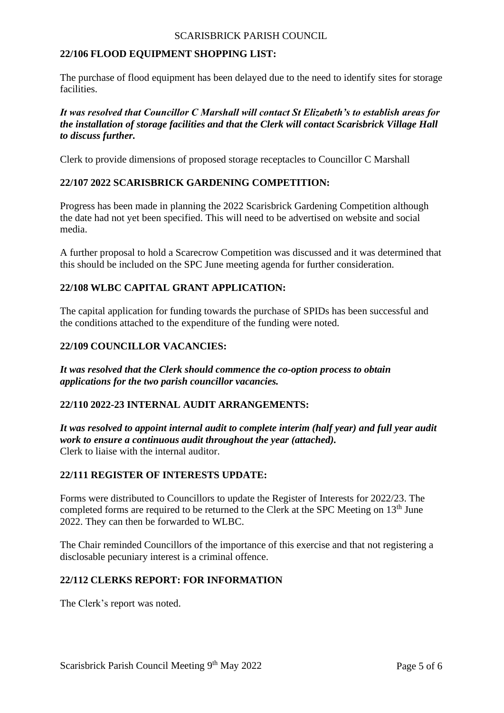## **22/106 FLOOD EQUIPMENT SHOPPING LIST:**

The purchase of flood equipment has been delayed due to the need to identify sites for storage facilities.

## *It was resolved that Councillor C Marshall will contact St Elizabeth's to establish areas for the installation of storage facilities and that the Clerk will contact Scarisbrick Village Hall to discuss further.*

Clerk to provide dimensions of proposed storage receptacles to Councillor C Marshall

# **22/107 2022 SCARISBRICK GARDENING COMPETITION:**

Progress has been made in planning the 2022 Scarisbrick Gardening Competition although the date had not yet been specified. This will need to be advertised on website and social media.

A further proposal to hold a Scarecrow Competition was discussed and it was determined that this should be included on the SPC June meeting agenda for further consideration.

## **22/108 WLBC CAPITAL GRANT APPLICATION:**

The capital application for funding towards the purchase of SPIDs has been successful and the conditions attached to the expenditure of the funding were noted.

### **22/109 COUNCILLOR VACANCIES:**

*It was resolved that the Clerk should commence the co-option process to obtain applications for the two parish councillor vacancies.*

# **22/110 2022-23 INTERNAL AUDIT ARRANGEMENTS:**

*It was resolved to appoint internal audit to complete interim (half year) and full year audit work to ensure a continuous audit throughout the year (attached).* Clerk to liaise with the internal auditor.

#### **22/111 REGISTER OF INTERESTS UPDATE:**

Forms were distributed to Councillors to update the Register of Interests for 2022/23. The completed forms are required to be returned to the Clerk at the SPC Meeting on  $13<sup>th</sup>$  June 2022. They can then be forwarded to WLBC.

The Chair reminded Councillors of the importance of this exercise and that not registering a disclosable pecuniary interest is a criminal offence.

### **22/112 CLERKS REPORT: FOR INFORMATION**

The Clerk's report was noted.